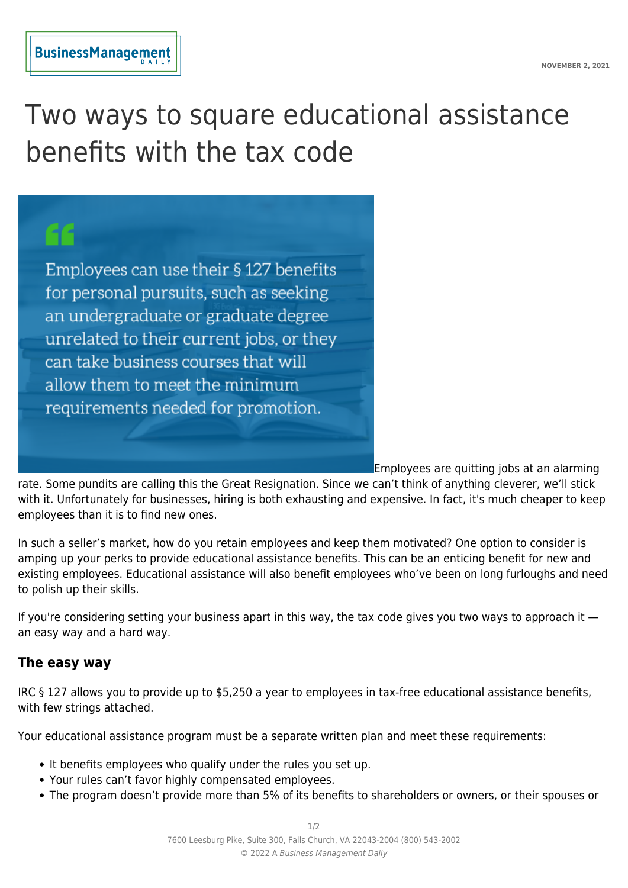## **BusinessManagement**

## Two ways to square educational assistance benefits with the tax code

Employees can use their § 127 benefits for personal pursuits, such as seeking an undergraduate or graduate degree unrelated to their current jobs, or they can take business courses that will allow them to meet the minimum requirements needed for promotion.

Employees are quitting jobs at an alarming

rate. Some pundits are calling this the Great Resignation. Since we can't think of anything cleverer, we'll stick with it. Unfortunately for businesses, hiring is both exhausting and expensive. In fact, it's much cheaper to keep employees than it is to find new ones.

In such a seller's market, how do you retain employees and keep them motivated? One option to consider is amping up your perks to provide educational assistance benefits. This can be an enticing benefit for new and existing employees. Educational assistance will also benefit employees who've been on long furloughs and need to polish up their skills.

If you're considering setting your business apart in this way, the tax code gives you two ways to approach it an easy way and a hard way.

## **The easy way**

IRC § 127 allows you to provide up to \$5,250 a year to employees in tax-free educational assistance benefits, with few strings attached.

Your educational assistance program must be a separate written plan and meet these requirements:

- It benefits employees who qualify under the rules you set up.
- Your rules can't favor highly compensated employees.
- The program doesn't provide more than 5% of its benefits to shareholders or owners, or their spouses or